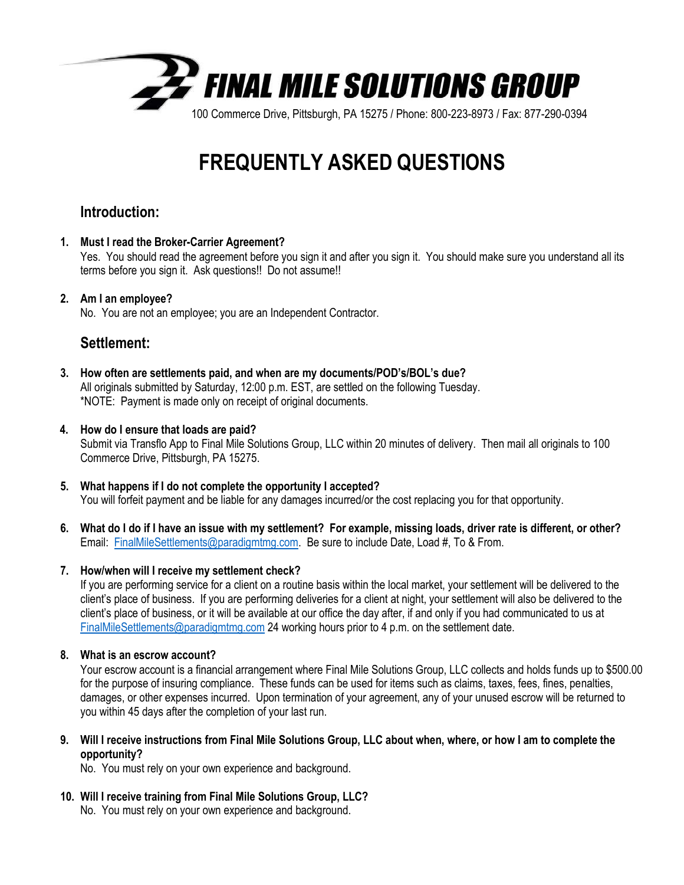

# **FREQUENTLY ASKED QUESTIONS**

# **Introduction:**

**1. Must I read the Broker-Carrier Agreement?**

Yes. You should read the agreement before you sign it and after you sign it. You should make sure you understand all its terms before you sign it. Ask questions!! Do not assume!!

# **2. Am I an employee?**

No. You are not an employee; you are an Independent Contractor.

# **Settlement:**

**3. How often are settlements paid, and when are my documents/POD's/BOL's due?** All originals submitted by Saturday, 12:00 p.m. EST, are settled on the following Tuesday. \*NOTE: Payment is made only on receipt of original documents.

# **4. How do I ensure that loads are paid?**

Submit via Transflo App to Final Mile Solutions Group, LLC within 20 minutes of delivery. Then mail all originals to 100 Commerce Drive, Pittsburgh, PA 15275.

- **5. What happens if I do not complete the opportunity I accepted?** You will forfeit payment and be liable for any damages incurred/or the cost replacing you for that opportunity.
- **6. What do I do if I have an issue with my settlement? For example, missing loads, driver rate is different, or other?** Email: [FinalMileSettlements@paradigmtmg.com.](mailto:FinalMileSettlements@paradigmtmg.com) Be sure to include Date, Load #, To & From.

# **7. How/when will I receive my settlement check?**

If you are performing service for a client on a routine basis within the local market, your settlement will be delivered to the client's place of business. If you are performing deliveries for a client at night, your settlement will also be delivered to the client's place of business, or it will be available at our office the day after, if and only if you had communicated to us at [FinalMileSettlements@paradigmtmg.com](mailto:FinalMileSettlements@paradigmtmg.com) 24 working hours prior to 4 p.m. on the settlement date.

# **8. What is an escrow account?**

Your escrow account is a financial arrangement where Final Mile Solutions Group, LLC collects and holds funds up to \$500.00 for the purpose of insuring compliance. These funds can be used for items such as claims, taxes, fees, fines, penalties, damages, or other expenses incurred. Upon termination of your agreement, any of your unused escrow will be returned to you within 45 days after the completion of your last run.

**9. Will I receive instructions from Final Mile Solutions Group, LLC about when, where, or how I am to complete the opportunity?**

No. You must rely on your own experience and background.

**10. Will I receive training from Final Mile Solutions Group, LLC?**

No. You must rely on your own experience and background.